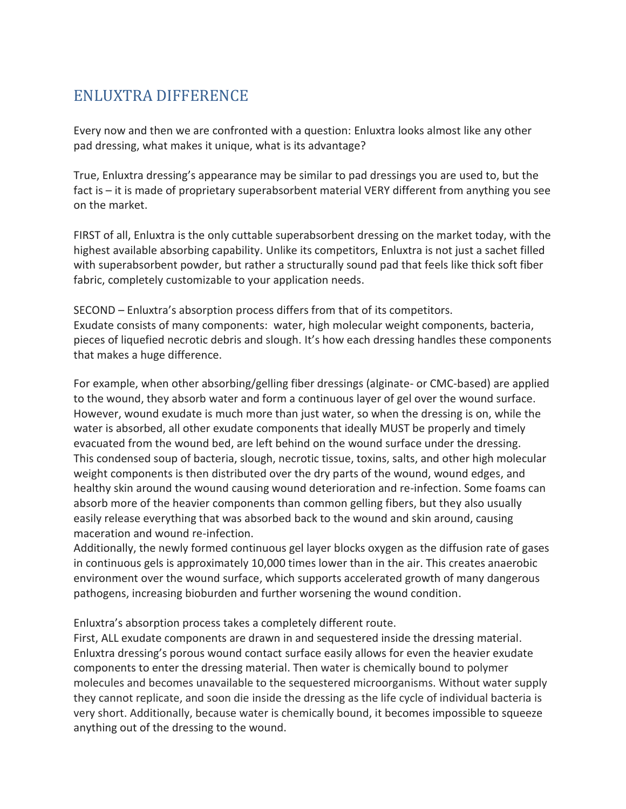## ENLUXTRA DIFFERENCE

Every now and then we are confronted with a question: Enluxtra looks almost like any other pad dressing, what makes it unique, what is its advantage?

True, Enluxtra dressing's appearance may be similar to pad dressings you are used to, but the fact is – it is made of proprietary superabsorbent material VERY different from anything you see on the market.

FIRST of all, Enluxtra is the only cuttable superabsorbent dressing on the market today, with the highest available absorbing capability. Unlike its competitors, Enluxtra is not just a sachet filled with superabsorbent powder, but rather a structurally sound pad that feels like thick soft fiber fabric, completely customizable to your application needs.

SECOND – Enluxtra's absorption process differs from that of its competitors. Exudate consists of many components: water, high molecular weight components, bacteria, pieces of liquefied necrotic debris and slough. It's how each dressing handles these components that makes a huge difference.

For example, when other absorbing/gelling fiber dressings (alginate- or CMC-based) are applied to the wound, they absorb water and form a continuous layer of gel over the wound surface. However, wound exudate is much more than just water, so when the dressing is on, while the water is absorbed, all other exudate components that ideally MUST be properly and timely evacuated from the wound bed, are left behind on the wound surface under the dressing. This condensed soup of bacteria, slough, necrotic tissue, toxins, salts, and other high molecular weight components is then distributed over the dry parts of the wound, wound edges, and healthy skin around the wound causing wound deterioration and re-infection. Some foams can absorb more of the heavier components than common gelling fibers, but they also usually easily release everything that was absorbed back to the wound and skin around, causing maceration and wound re-infection.

Additionally, the newly formed continuous gel layer blocks oxygen as the diffusion rate of gases in continuous gels is approximately 10,000 times lower than in the air. This creates anaerobic environment over the wound surface, which supports accelerated growth of many dangerous pathogens, increasing bioburden and further worsening the wound condition.

Enluxtra's absorption process takes a completely different route.

First, ALL exudate components are drawn in and sequestered inside the dressing material. Enluxtra dressing's porous wound contact surface easily allows for even the heavier exudate components to enter the dressing material. Then water is chemically bound to polymer molecules and becomes unavailable to the sequestered microorganisms. Without water supply they cannot replicate, and soon die inside the dressing as the life cycle of individual bacteria is very short. Additionally, because water is chemically bound, it becomes impossible to squeeze anything out of the dressing to the wound.